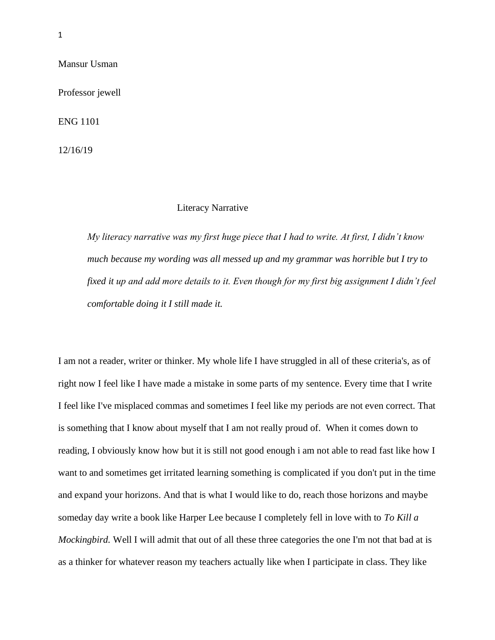Mansur Usman

Professor jewell

ENG 1101

12/16/19

### Literacy Narrative

*My literacy narrative was my first huge piece that I had to write. At first, I didn't know much because my wording was all messed up and my grammar was horrible but I try to fixed it up and add more details to it. Even though for my first big assignment I didn't feel comfortable doing it I still made it.*

I am not a reader, writer or thinker. My whole life I have struggled in all of these criteria's, as of right now I feel like I have made a mistake in some parts of my sentence. Every time that I write I feel like I've misplaced commas and sometimes I feel like my periods are not even correct. That is something that I know about myself that I am not really proud of. When it comes down to reading, I obviously know how but it is still not good enough i am not able to read fast like how I want to and sometimes get irritated learning something is complicated if you don't put in the time and expand your horizons. And that is what I would like to do, reach those horizons and maybe someday day write a book like Harper Lee because I completely fell in love with to *To Kill a Mockingbird.* Well I will admit that out of all these three categories the one I'm not that bad at is as a thinker for whatever reason my teachers actually like when I participate in class. They like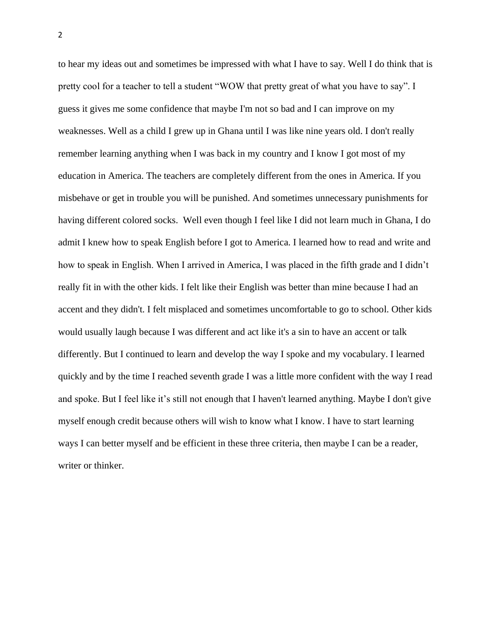to hear my ideas out and sometimes be impressed with what I have to say. Well I do think that is pretty cool for a teacher to tell a student "WOW that pretty great of what you have to say". I guess it gives me some confidence that maybe I'm not so bad and I can improve on my weaknesses. Well as a child I grew up in Ghana until I was like nine years old. I don't really remember learning anything when I was back in my country and I know I got most of my education in America. The teachers are completely different from the ones in America. If you misbehave or get in trouble you will be punished. And sometimes unnecessary punishments for having different colored socks. Well even though I feel like I did not learn much in Ghana, I do admit I knew how to speak English before I got to America. I learned how to read and write and how to speak in English. When I arrived in America, I was placed in the fifth grade and I didn't really fit in with the other kids. I felt like their English was better than mine because I had an accent and they didn't. I felt misplaced and sometimes uncomfortable to go to school. Other kids would usually laugh because I was different and act like it's a sin to have an accent or talk differently. But I continued to learn and develop the way I spoke and my vocabulary. I learned quickly and by the time I reached seventh grade I was a little more confident with the way I read and spoke. But I feel like it's still not enough that I haven't learned anything. Maybe I don't give myself enough credit because others will wish to know what I know. I have to start learning ways I can better myself and be efficient in these three criteria, then maybe I can be a reader, writer or thinker.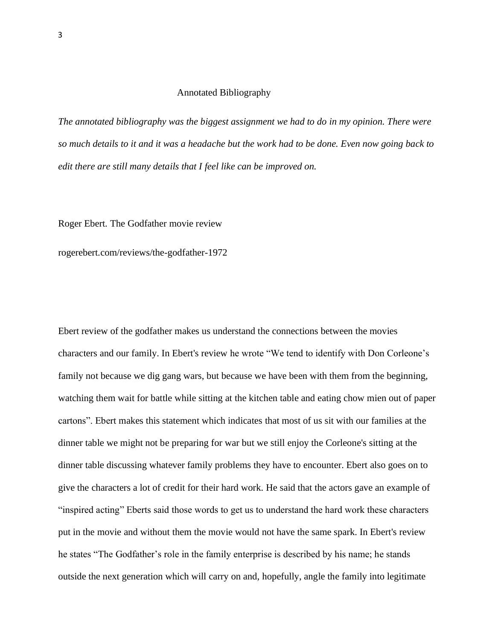### Annotated Bibliography

*The annotated bibliography was the biggest assignment we had to do in my opinion. There were so much details to it and it was a headache but the work had to be done. Even now going back to edit there are still many details that I feel like can be improved on.* 

Roger Ebert. The Godfather movie review

rogerebert.com/reviews/the-godfather-1972

Ebert review of the godfather makes us understand the connections between the movies characters and our family. In Ebert's review he wrote "We tend to identify with Don Corleone's family not because we dig gang wars, but because we have been with them from the beginning, watching them wait for battle while sitting at the kitchen table and eating chow mien out of paper cartons". Ebert makes this statement which indicates that most of us sit with our families at the dinner table we might not be preparing for war but we still enjoy the Corleone's sitting at the dinner table discussing whatever family problems they have to encounter. Ebert also goes on to give the characters a lot of credit for their hard work. He said that the actors gave an example of "inspired acting" Eberts said those words to get us to understand the hard work these characters put in the movie and without them the movie would not have the same spark. In Ebert's review he states "The Godfather's role in the family enterprise is described by his name; he stands outside the next generation which will carry on and, hopefully, angle the family into legitimate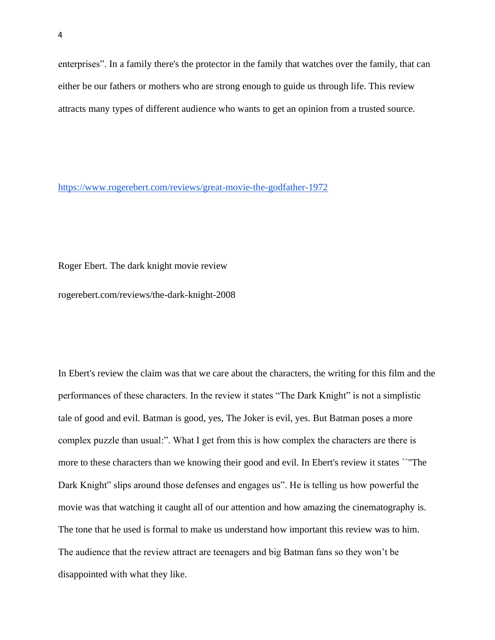enterprises". In a family there's the protector in the family that watches over the family, that can either be our fathers or mothers who are strong enough to guide us through life. This review attracts many types of different audience who wants to get an opinion from a trusted source.

<https://www.rogerebert.com/reviews/great-movie-the-godfather-1972>

Roger Ebert. The dark knight movie review

rogerebert.com/reviews/the-dark-knight-2008

In Ebert's review the claim was that we care about the characters, the writing for this film and the performances of these characters. In the review it states "The Dark Knight" is not a simplistic tale of good and evil. Batman is good, yes, The Joker is evil, yes. But Batman poses a more complex puzzle than usual:". What I get from this is how complex the characters are there is more to these characters than we knowing their good and evil. In Ebert's review it states ``''The Dark Knight" slips around those defenses and engages us". He is telling us how powerful the movie was that watching it caught all of our attention and how amazing the cinematography is. The tone that he used is formal to make us understand how important this review was to him. The audience that the review attract are teenagers and big Batman fans so they won't be disappointed with what they like.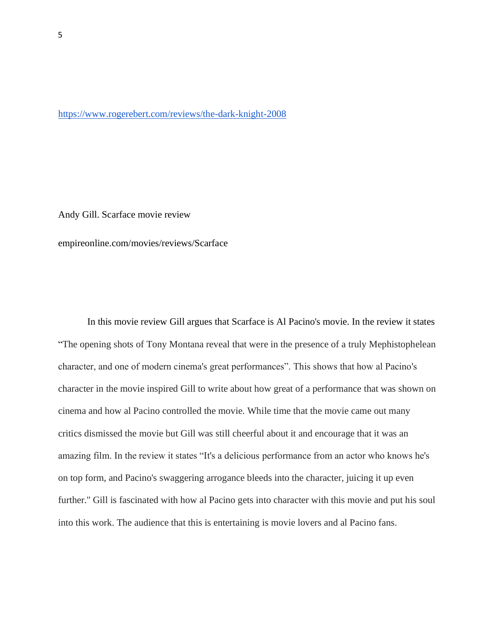#### <https://www.rogerebert.com/reviews/the-dark-knight-2008>

Andy Gill. Scarface movie review

empireonline.com/movies/reviews/Scarface

In this movie review Gill argues that Scarface is Al Pacino's movie. In the review it states "The opening shots of Tony Montana reveal that were in the presence of a truly Mephistophelean character, and one of modern cinema's great performances". This shows that how al Pacino's character in the movie inspired Gill to write about how great of a performance that was shown on cinema and how al Pacino controlled the movie. While time that the movie came out many critics dismissed the movie but Gill was still cheerful about it and encourage that it was an amazing film. In the review it states "It's a delicious performance from an actor who knows he's on top form, and Pacino's swaggering arrogance bleeds into the character, juicing it up even further.'' Gill is fascinated with how al Pacino gets into character with this movie and put his soul into this work. The audience that this is entertaining is movie lovers and al Pacino fans.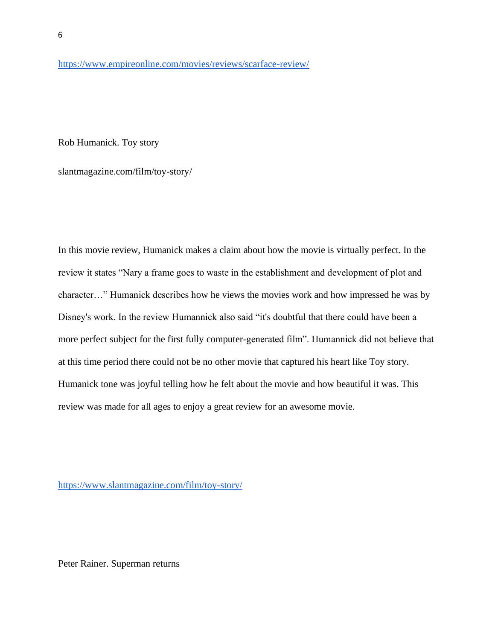<https://www.empireonline.com/movies/reviews/scarface-review/>

Rob Humanick. Toy story

slantmagazine.com/film/toy-story/

In this movie review, Humanick makes a claim about how the movie is virtually perfect. In the review it states "Nary a frame goes to waste in the establishment and development of plot and character…" Humanick describes how he views the movies work and how impressed he was by Disney's work. In the review Humannick also said "it's doubtful that there could have been a more perfect subject for the first fully computer-generated film". Humannick did not believe that at this time period there could not be no other movie that captured his heart like Toy story. Humanick tone was joyful telling how he felt about the movie and how beautiful it was. This review was made for all ages to enjoy a great review for an awesome movie.

<https://www.slantmagazine.com/film/toy-story/>

Peter Rainer. Superman returns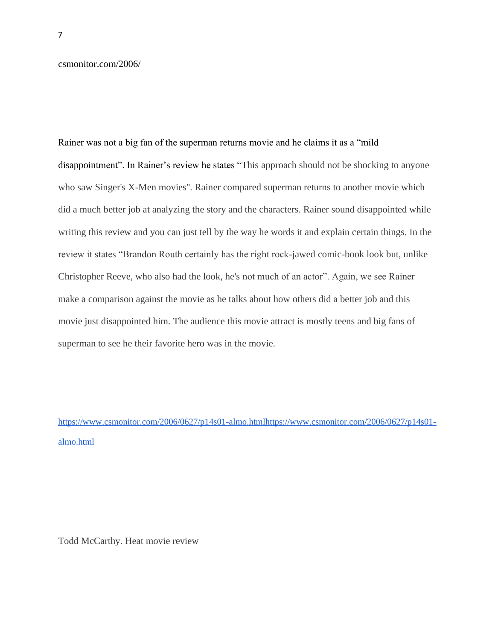csmonitor.com/2006/

Rainer was not a big fan of the superman returns movie and he claims it as a "mild disappointment". In Rainer's review he states "This approach should not be shocking to anyone who saw Singer's X-Men movies''. Rainer compared superman returns to another movie which did a much better job at analyzing the story and the characters. Rainer sound disappointed while writing this review and you can just tell by the way he words it and explain certain things. In the review it states "Brandon Routh certainly has the right rock-jawed comic-book look but, unlike Christopher Reeve, who also had the look, he's not much of an actor". Again, we see Rainer make a comparison against the movie as he talks about how others did a better job and this movie just disappointed him. The audience this movie attract is mostly teens and big fans of superman to see he their favorite hero was in the movie.

[https://www.csmonitor.com/2006/0627/p14s01-almo.htmlhttps://www.csmonitor.com/2006/0627/p14s01](https://www.csmonitor.com/2006/0627/p14s01-almo.html) [almo.html](https://www.csmonitor.com/2006/0627/p14s01-almo.html)

Todd McCarthy. Heat movie review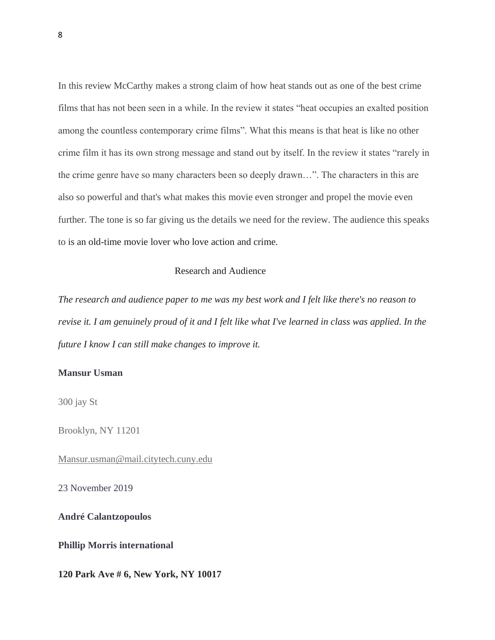In this review McCarthy makes a strong claim of how heat stands out as one of the best crime films that has not been seen in a while. In the review it states "heat occupies an exalted position among the countless contemporary crime films". What this means is that heat is like no other crime film it has its own strong message and stand out by itself. In the review it states "rarely in the crime genre have so many characters been so deeply drawn…". The characters in this are also so powerful and that's what makes this movie even stronger and propel the movie even further. The tone is so far giving us the details we need for the review. The audience this speaks to is an old-time movie lover who love action and crime.

### Research and Audience

*The research and audience paper to me was my best work and I felt like there's no reason to revise it. I am genuinely proud of it and I felt like what I've learned in class was applied. In the future I know I can still make changes to improve it.*

# **Mansur Usman**

300 jay St

Brooklyn, NY 11201

[Mansur.usman@mail.citytech.cuny.edu](mailto:Mansur.usman@mail.citytech.cuny.edu)

23 November 2019

**André Calantzopoulos**

**Phillip Morris international**

**120 Park Ave # 6, New York, NY 10017**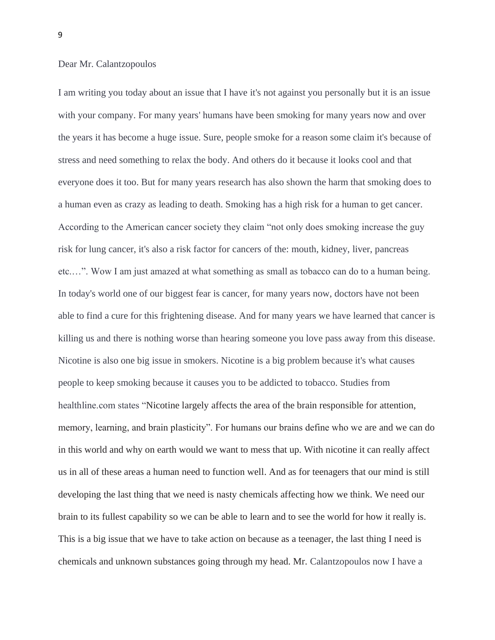### Dear Mr. Calantzopoulos

I am writing you today about an issue that I have it's not against you personally but it is an issue with your company. For many years' humans have been smoking for many years now and over the years it has become a huge issue. Sure, people smoke for a reason some claim it's because of stress and need something to relax the body. And others do it because it looks cool and that everyone does it too. But for many years research has also shown the harm that smoking does to a human even as crazy as leading to death. Smoking has a high risk for a human to get cancer. According to the American cancer society they claim "not only does smoking increase the guy risk for lung cancer, it's also a risk factor for cancers of the: mouth, kidney, liver, pancreas etc.…". Wow I am just amazed at what something as small as tobacco can do to a human being. In today's world one of our biggest fear is cancer, for many years now, doctors have not been able to find a cure for this frightening disease. And for many years we have learned that cancer is killing us and there is nothing worse than hearing someone you love pass away from this disease. Nicotine is also one big issue in smokers. Nicotine is a big problem because it's what causes people to keep smoking because it causes you to be addicted to tobacco. Studies from healthline.com states "Nicotine largely affects the area of the brain responsible for attention, memory, learning, and brain plasticity". For humans our brains define who we are and we can do in this world and why on earth would we want to mess that up. With nicotine it can really affect us in all of these areas a human need to function well. And as for teenagers that our mind is still developing the last thing that we need is nasty chemicals affecting how we think. We need our brain to its fullest capability so we can be able to learn and to see the world for how it really is. This is a big issue that we have to take action on because as a teenager, the last thing I need is chemicals and unknown substances going through my head. Mr. Calantzopoulos now I have a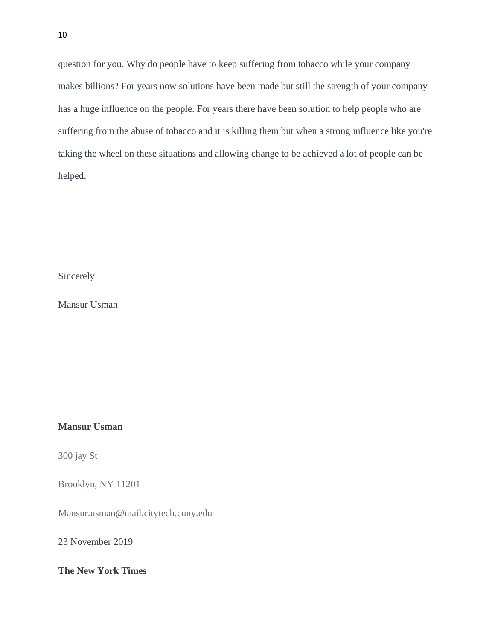question for you. Why do people have to keep suffering from tobacco while your company makes billions? For years now solutions have been made but still the strength of your company has a huge influence on the people. For years there have been solution to help people who are suffering from the abuse of tobacco and it is killing them but when a strong influence like you're taking the wheel on these situations and allowing change to be achieved a lot of people can be helped.

Sincerely

Mansur Usman

## **Mansur Usman**

300 jay St

Brooklyn, NY 11201

[Mansur.usman@mail.citytech.cuny.edu](mailto:Mansur.usman@mail.citytech.cuny.edu)

23 November 2019

**The New York Times**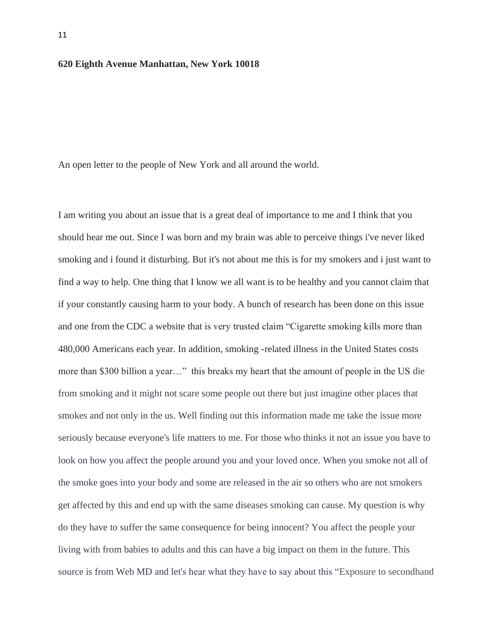### **620 Eighth Avenue Manhattan, New York 10018**

An open letter to the people of New York and all around the world.

I am writing you about an issue that is a great deal of importance to me and I think that you should hear me out. Since I was born and my brain was able to perceive things i've never liked smoking and i found it disturbing. But it's not about me this is for my smokers and i just want to find a way to help. One thing that I know we all want is to be healthy and you cannot claim that if your constantly causing harm to your body. A bunch of research has been done on this issue and one from the CDC a website that is very trusted claim "Cigarette smoking kills more than 480,000 Americans each year. In addition, smoking -related illness in the United States costs more than \$300 billion a year…" this breaks my heart that the amount of people in the US die from smoking and it might not scare some people out there but just imagine other places that smokes and not only in the us. Well finding out this information made me take the issue more seriously because everyone's life matters to me. For those who thinks it not an issue you have to look on how you affect the people around you and your loved once. When you smoke not all of the smoke goes into your body and some are released in the air so others who are not smokers get affected by this and end up with the same diseases smoking can cause. My question is why do they have to suffer the same consequence for being innocent? You affect the people your living with from babies to adults and this can have a big impact on them in the future. This source is from Web MD and let's hear what they have to say about this "Exposure to secondhand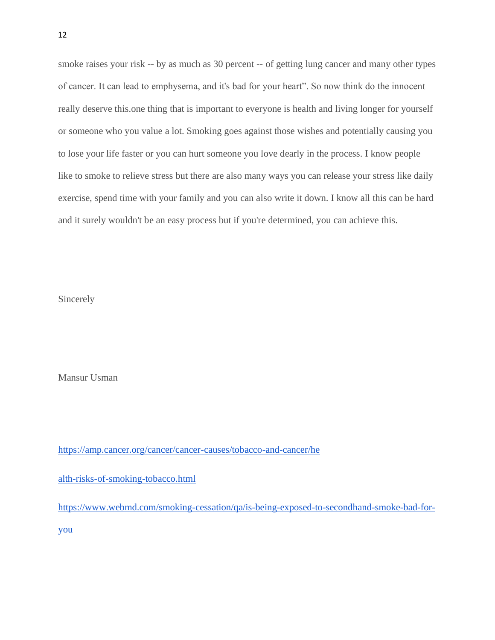smoke raises your risk -- by as much as 30 percent -- of getting lung cancer and many other types of cancer. It can lead to emphysema, and it's bad for your heart". So now think do the innocent really deserve this.one thing that is important to everyone is health and living longer for yourself or someone who you value a lot. Smoking goes against those wishes and potentially causing you to lose your life faster or you can hurt someone you love dearly in the process. I know people like to smoke to relieve stress but there are also many ways you can release your stress like daily exercise, spend time with your family and you can also write it down. I know all this can be hard and it surely wouldn't be an easy process but if you're determined, you can achieve this.

Sincerely

Mansur Usman

[https://amp.cancer.org/cancer/cancer-causes/tobacco-and-cancer/he](https://amp.cancer.org/cancer/cancer-causes/tobacco-and-cancer/health-risks-of-smoking-tobacco.html)

[alth-risks-of-smoking-tobacco.html](https://amp.cancer.org/cancer/cancer-causes/tobacco-and-cancer/health-risks-of-smoking-tobacco.html)

[https://www.webmd.com/smoking-cessation/qa/is-being-exposed-to-secondhand-smoke-bad-for](https://www.webmd.com/smoking-cessation/qa/is-being-exposed-to-secondhand-smoke-bad-for-you)[you](https://www.webmd.com/smoking-cessation/qa/is-being-exposed-to-secondhand-smoke-bad-for-you)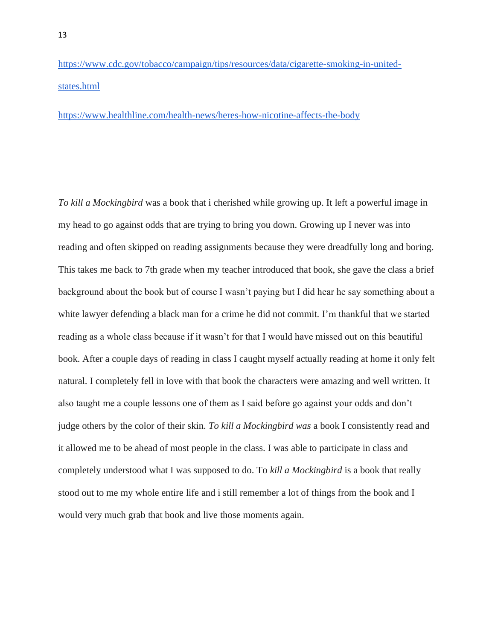[https://www.cdc.gov/tobacco/campaign/tips/resources/data/cigarette-smoking-in-united](https://www.cdc.gov/tobacco/campaign/tips/resources/data/cigarette-smoking-in-united-states.html)[states.html](https://www.cdc.gov/tobacco/campaign/tips/resources/data/cigarette-smoking-in-united-states.html)

<https://www.healthline.com/health-news/heres-how-nicotine-affects-the-body>

*To kill a Mockingbird* was a book that i cherished while growing up. It left a powerful image in my head to go against odds that are trying to bring you down. Growing up I never was into reading and often skipped on reading assignments because they were dreadfully long and boring. This takes me back to 7th grade when my teacher introduced that book, she gave the class a brief background about the book but of course I wasn't paying but I did hear he say something about a white lawyer defending a black man for a crime he did not commit. I'm thankful that we started reading as a whole class because if it wasn't for that I would have missed out on this beautiful book. After a couple days of reading in class I caught myself actually reading at home it only felt natural. I completely fell in love with that book the characters were amazing and well written. It also taught me a couple lessons one of them as I said before go against your odds and don't judge others by the color of their skin. *To kill a Mockingbird was* a book I consistently read and it allowed me to be ahead of most people in the class. I was able to participate in class and completely understood what I was supposed to do. To *kill a Mockingbird* is a book that really stood out to me my whole entire life and i still remember a lot of things from the book and I would very much grab that book and live those moments again.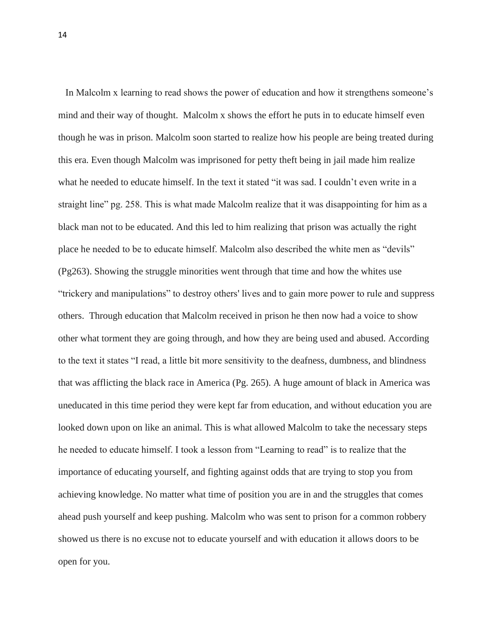In Malcolm x learning to read shows the power of education and how it strengthens someone's mind and their way of thought. Malcolm x shows the effort he puts in to educate himself even though he was in prison. Malcolm soon started to realize how his people are being treated during this era. Even though Malcolm was imprisoned for petty theft being in jail made him realize what he needed to educate himself. In the text it stated "it was sad. I couldn't even write in a straight line" pg. 258. This is what made Malcolm realize that it was disappointing for him as a black man not to be educated. And this led to him realizing that prison was actually the right place he needed to be to educate himself. Malcolm also described the white men as "devils" (Pg263). Showing the struggle minorities went through that time and how the whites use "trickery and manipulations" to destroy others' lives and to gain more power to rule and suppress others. Through education that Malcolm received in prison he then now had a voice to show other what torment they are going through, and how they are being used and abused. According to the text it states "I read, a little bit more sensitivity to the deafness, dumbness, and blindness that was afflicting the black race in America (Pg. 265). A huge amount of black in America was uneducated in this time period they were kept far from education, and without education you are looked down upon on like an animal. This is what allowed Malcolm to take the necessary steps he needed to educate himself. I took a lesson from "Learning to read" is to realize that the importance of educating yourself, and fighting against odds that are trying to stop you from achieving knowledge. No matter what time of position you are in and the struggles that comes ahead push yourself and keep pushing. Malcolm who was sent to prison for a common robbery showed us there is no excuse not to educate yourself and with education it allows doors to be open for you.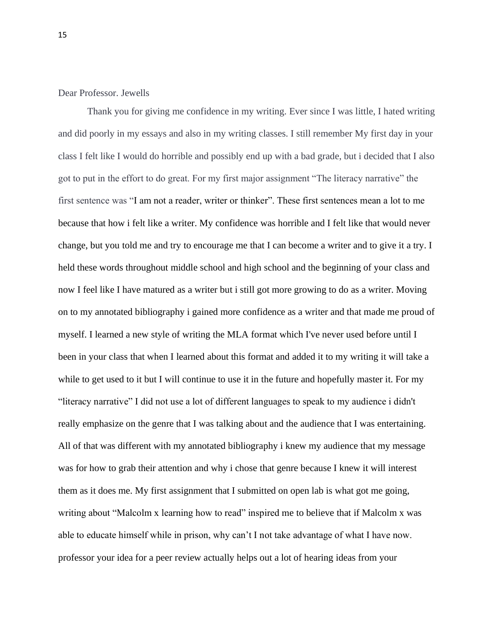Dear Professor. Jewells

Thank you for giving me confidence in my writing. Ever since I was little, I hated writing and did poorly in my essays and also in my writing classes. I still remember My first day in your class I felt like I would do horrible and possibly end up with a bad grade, but i decided that I also got to put in the effort to do great. For my first major assignment "The literacy narrative" the first sentence was "I am not a reader, writer or thinker". These first sentences mean a lot to me because that how i felt like a writer. My confidence was horrible and I felt like that would never change, but you told me and try to encourage me that I can become a writer and to give it a try. I held these words throughout middle school and high school and the beginning of your class and now I feel like I have matured as a writer but i still got more growing to do as a writer. Moving on to my annotated bibliography i gained more confidence as a writer and that made me proud of myself. I learned a new style of writing the MLA format which I've never used before until I been in your class that when I learned about this format and added it to my writing it will take a while to get used to it but I will continue to use it in the future and hopefully master it. For my "literacy narrative" I did not use a lot of different languages to speak to my audience i didn't really emphasize on the genre that I was talking about and the audience that I was entertaining. All of that was different with my annotated bibliography i knew my audience that my message was for how to grab their attention and why i chose that genre because I knew it will interest them as it does me. My first assignment that I submitted on open lab is what got me going, writing about "Malcolm x learning how to read" inspired me to believe that if Malcolm x was able to educate himself while in prison, why can't I not take advantage of what I have now. professor your idea for a peer review actually helps out a lot of hearing ideas from your